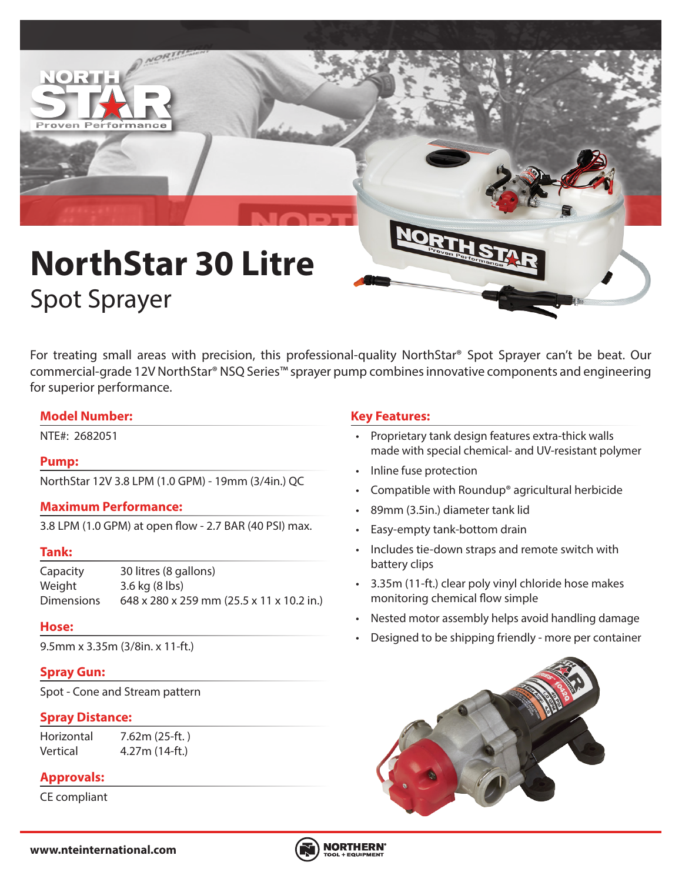

For treating small areas with precision, this professional-quality NorthStar® Spot Sprayer can't be beat. Our commercial-grade 12V NorthStar® NSQ Series™ sprayer pump combines innovative components and engineering for superior performance.

### **Model Number:**

# **Pump:**

NorthStar 12V 3.8 LPM (1.0 GPM) - 19mm (3/4in.) QC

# **Maximum Performance:**

3.8 LPM (1.0 GPM) at open flow - 2.7 BAR (40 PSI) max.

#### **Tank:**

Capacity 30 litres (8 gallons) Weight 3.6 kg (8 lbs) Dimensions 648 x 280 x 259 mm (25.5 x 11 x 10.2 in.)

#### **Hose:**

9.5mm x 3.35m (3/8in. x 11-ft.)

# **Spray Gun:**

Spot - Cone and Stream pattern

## **Spray Distance:**

Horizontal 7.62m (25-ft. ) Vertical 4.27m (14-ft.)

# **Approvals:**

CE compliant

# **Key Features:**

- NTE#: 2682051 Proprietary tank design features extra-thick walls made with special chemical- and UV-resistant polymer
	- Inline fuse protection
	- Compatible with Roundup® agricultural herbicide
	- 89mm (3.5in.) diameter tank lid
	- Easy-empty tank-bottom drain
	- Includes tie-down straps and remote switch with battery clips
	- 3.35m (11-ft.) clear poly vinyl chloride hose makes monitoring chemical flow simple
	- Nested motor assembly helps avoid handling damage
	- Designed to be shipping friendly more per container